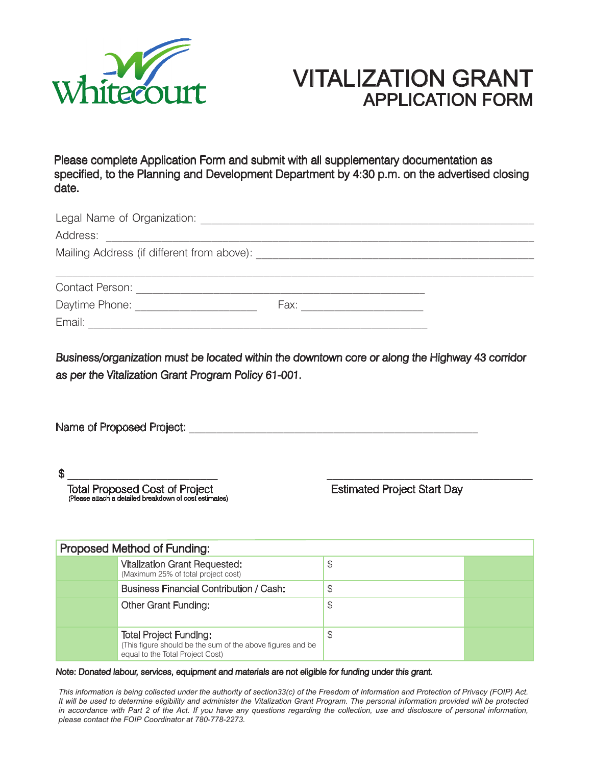

## VITALIZATION GRANT APPLICATION FORM

Please complete Application Form and submit with all supplementary documentation as specified, to the Planning and Development Department by 4:30 p.m. on the advertised closing date.

| Legal Name of Organization:                                                                                                                                                                                                    |      |  |
|--------------------------------------------------------------------------------------------------------------------------------------------------------------------------------------------------------------------------------|------|--|
| Address:<br><u> 1989 - Jan James James Jan James James Jan James James Jan James James Jan James James Jan Jan James James J</u>                                                                                               |      |  |
| Mailing Address (if different from above): National Contract of the Contract of the Contract of the Contract of the Contract of the Contract of the Contract of the Contract of the Contract of the Contract of the Contract o |      |  |
|                                                                                                                                                                                                                                |      |  |
| <b>Contact Person:</b>                                                                                                                                                                                                         |      |  |
| Daytime Phone:                                                                                                                                                                                                                 | Fax: |  |
| Email:                                                                                                                                                                                                                         |      |  |

Business/organization must be located within the downtown core or along the Highway 43 corridor as per the Vitalization Grant Program Policy 61-001.

| Name of Proposed Project: |  |
|---------------------------|--|
|---------------------------|--|

\$ \_\_\_\_\_\_\_\_\_\_\_\_\_\_\_\_\_\_\_\_\_\_\_\_\_\_\_ \_\_\_\_\_\_\_\_\_\_\_\_\_\_\_\_\_\_\_\_\_\_\_\_\_\_\_\_\_\_\_\_\_\_\_\_\_

Total Proposed Cost of Project **Example 2018** Estimated Project Start Day (Please attach a detailed breakdown of cost estimates)

| Proposed Method of Funding: |                                                                                                                                 |    |  |
|-----------------------------|---------------------------------------------------------------------------------------------------------------------------------|----|--|
|                             | <b>Vitalization Grant Requested:</b><br>(Maximum 25% of total project cost)                                                     | \$ |  |
|                             | <b>Business Financial Contribution / Cash:</b>                                                                                  | \$ |  |
|                             | <b>Other Grant Funding:</b>                                                                                                     | \$ |  |
|                             | <b>Total Project Funding:</b><br>(This figure should be the sum of the above figures and be<br>equal to the Total Project Cost) | \$ |  |

## Note: Donated labour, services, equipment and materials are not eligible for funding under this grant.

*This information is being collected under the authority of section33(c) of the Freedom of Information and Protection of Privacy (FOIP) Act. It will be used to determine eligibility and administer the Vitalization Grant Program. The personal information provided will be protected*  in accordance with Part 2 of the Act. If you have any questions regarding the collection, use and disclosure of personal information, *please contact the FOIP Coordinator at 780-778-2273.*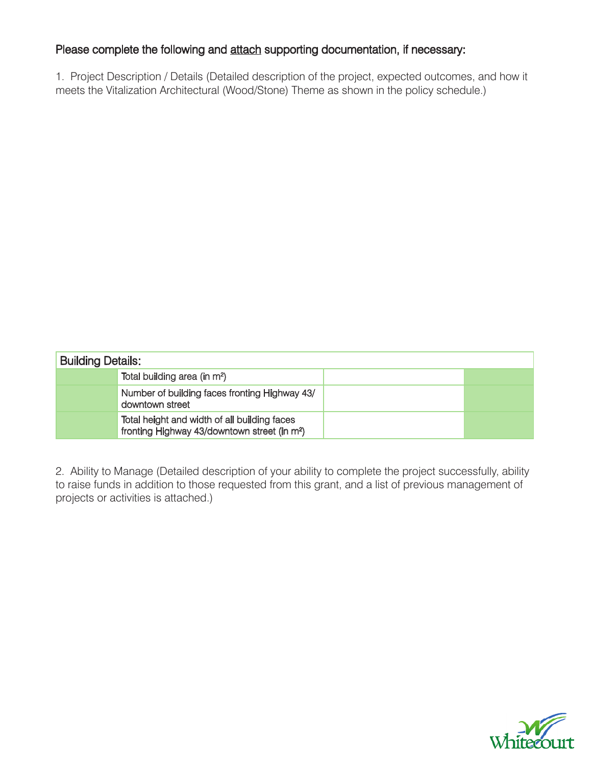## Please complete the following and attach supporting documentation, if necessary:

1. Project Description / Details (Detailed description of the project, expected outcomes, and how it meets the Vitalization Architectural (Wood/Stone) Theme as shown in the policy schedule.)

| <b>Building Details:</b> |                                                                                                          |  |
|--------------------------|----------------------------------------------------------------------------------------------------------|--|
|                          | Total building area (in m <sup>2</sup> )                                                                 |  |
|                          | Number of building faces fronting Highway 43/<br>downtown street                                         |  |
|                          | Total height and width of all building faces<br>fronting Highway 43/downtown street (in m <sup>2</sup> ) |  |

2. Ability to Manage (Detailed description of your ability to complete the project successfully, ability to raise funds in addition to those requested from this grant, and a list of previous management of projects or activities is attached.)